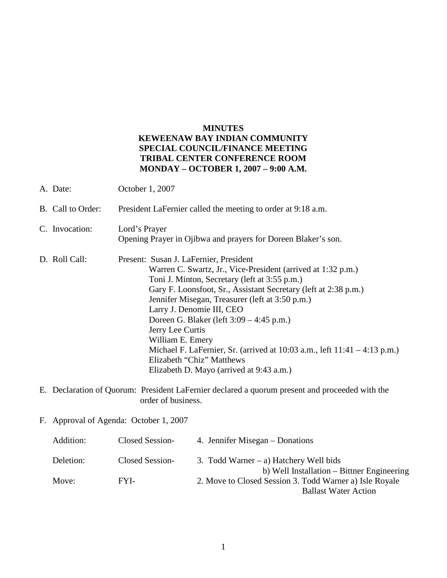## **MINUTES KEWEENAW BAY INDIAN COMMUNITY SPECIAL COUNCIL/FINANCE MEETING TRIBAL CENTER CONFERENCE ROOM MONDAY – OCTOBER 1, 2007 – 9:00 A.M.**

| A. Date:                                                                                                                                                                                                                                                                                                                                                                                                                                                                                                                                                                  | October 1, 2007                                                                |  |  |
|---------------------------------------------------------------------------------------------------------------------------------------------------------------------------------------------------------------------------------------------------------------------------------------------------------------------------------------------------------------------------------------------------------------------------------------------------------------------------------------------------------------------------------------------------------------------------|--------------------------------------------------------------------------------|--|--|
| B. Call to Order:                                                                                                                                                                                                                                                                                                                                                                                                                                                                                                                                                         | President LaFernier called the meeting to order at 9:18 a.m.                   |  |  |
| C. Invocation:                                                                                                                                                                                                                                                                                                                                                                                                                                                                                                                                                            | Lord's Prayer<br>Opening Prayer in Ojibwa and prayers for Doreen Blaker's son. |  |  |
| D. Roll Call:<br>Present: Susan J. LaFernier, President<br>Warren C. Swartz, Jr., Vice-President (arrived at 1:32 p.m.)<br>Toni J. Minton, Secretary (left at 3:55 p.m.)<br>Gary F. Loonsfoot, Sr., Assistant Secretary (left at 2:38 p.m.)<br>Jennifer Misegan, Treasurer (left at 3:50 p.m.)<br>Larry J. Denomie III, CEO<br>Doreen G. Blaker (left 3:09 – 4:45 p.m.)<br>Jerry Lee Curtis<br>William E. Emery<br>Michael F. LaFernier, Sr. (arrived at $10:03$ a.m., left $11:41 - 4:13$ p.m.)<br>Elizabeth "Chiz" Matthews<br>Elizabeth D. Mayo (arrived at 9:43 a.m.) |                                                                                |  |  |
| E. Declaration of Quorum: President LaFernier declared a quorum present and proceeded with the<br>order of business.                                                                                                                                                                                                                                                                                                                                                                                                                                                      |                                                                                |  |  |
| F. Approval of Agenda: October 1, 2007                                                                                                                                                                                                                                                                                                                                                                                                                                                                                                                                    |                                                                                |  |  |
| Addition:                                                                                                                                                                                                                                                                                                                                                                                                                                                                                                                                                                 | Closed Session-<br>4. Jennifer Misegan – Donations                             |  |  |

| Deletion: | Closed Session- | 3. Todd Warner $-$ a) Hatchery Well bids                |
|-----------|-----------------|---------------------------------------------------------|
|           |                 | b) Well Installation – Bittner Engineering              |
| Move:     | FYL-            | 2. Move to Closed Session 3. Todd Warner a) Isle Royale |
|           |                 | <b>Ballast Water Action</b>                             |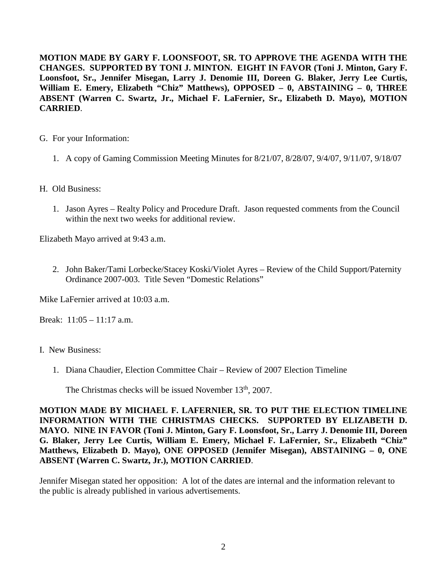**MOTION MADE BY GARY F. LOONSFOOT, SR. TO APPROVE THE AGENDA WITH THE CHANGES. SUPPORTED BY TONI J. MINTON. EIGHT IN FAVOR (Toni J. Minton, Gary F. Loonsfoot, Sr., Jennifer Misegan, Larry J. Denomie III, Doreen G. Blaker, Jerry Lee Curtis, William E. Emery, Elizabeth "Chiz" Matthews), OPPOSED – 0, ABSTAINING – 0, THREE ABSENT (Warren C. Swartz, Jr., Michael F. LaFernier, Sr., Elizabeth D. Mayo), MOTION CARRIED**.

- G. For your Information:
	- 1. A copy of Gaming Commission Meeting Minutes for 8/21/07, 8/28/07, 9/4/07, 9/11/07, 9/18/07
- H. Old Business:
	- 1. Jason Ayres Realty Policy and Procedure Draft. Jason requested comments from the Council within the next two weeks for additional review.

Elizabeth Mayo arrived at 9:43 a.m.

2. John Baker/Tami Lorbecke/Stacey Koski/Violet Ayres – Review of the Child Support/Paternity Ordinance 2007-003. Title Seven "Domestic Relations"

Mike LaFernier arrived at 10:03 a.m.

Break: 11:05 – 11:17 a.m.

- I. New Business:
	- 1. Diana Chaudier, Election Committee Chair Review of 2007 Election Timeline

The Christmas checks will be issued November 13<sup>th</sup>, 2007.

**MOTION MADE BY MICHAEL F. LAFERNIER, SR. TO PUT THE ELECTION TIMELINE INFORMATION WITH THE CHRISTMAS CHECKS. SUPPORTED BY ELIZABETH D. MAYO. NINE IN FAVOR (Toni J. Minton, Gary F. Loonsfoot, Sr., Larry J. Denomie III, Doreen G. Blaker, Jerry Lee Curtis, William E. Emery, Michael F. LaFernier, Sr., Elizabeth "Chiz" Matthews, Elizabeth D. Mayo), ONE OPPOSED (Jennifer Misegan), ABSTAINING – 0, ONE ABSENT (Warren C. Swartz, Jr.), MOTION CARRIED**.

Jennifer Misegan stated her opposition: A lot of the dates are internal and the information relevant to the public is already published in various advertisements.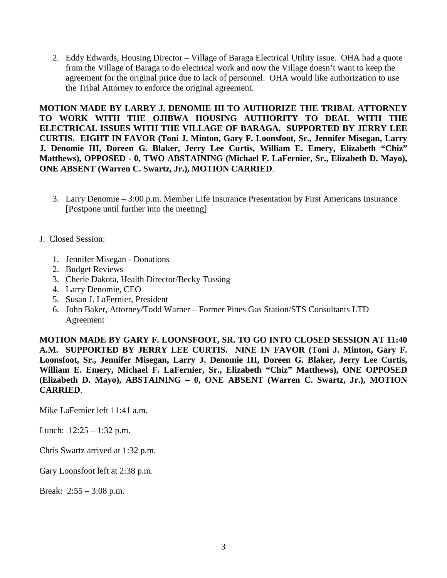2. Eddy Edwards, Housing Director – Village of Baraga Electrical Utility Issue. OHA had a quote from the Village of Baraga to do electrical work and now the Village doesn't want to keep the agreement for the original price due to lack of personnel. OHA would like authorization to use the Tribal Attorney to enforce the original agreement.

**MOTION MADE BY LARRY J. DENOMIE III TO AUTHORIZE THE TRIBAL ATTORNEY TO WORK WITH THE OJIBWA HOUSING AUTHORITY TO DEAL WITH THE ELECTRICAL ISSUES WITH THE VILLAGE OF BARAGA. SUPPORTED BY JERRY LEE CURTIS. EIGHT IN FAVOR (Toni J. Minton, Gary F. Loonsfoot, Sr., Jennifer Misegan, Larry J. Denomie III, Doreen G. Blaker, Jerry Lee Curtis, William E. Emery, Elizabeth "Chiz" Matthews), OPPOSED - 0, TWO ABSTAINING (Michael F. LaFernier, Sr., Elizabeth D. Mayo), ONE ABSENT (Warren C. Swartz, Jr.), MOTION CARRIED**.

- 3. Larry Denomie 3:00 p.m. Member Life Insurance Presentation by First Americans Insurance [Postpone until further into the meeting]
- J. Closed Session:
	- 1. Jennifer Misegan Donations
	- 2. Budget Reviews
	- 3. Cherie Dakota, Health Director/Becky Tussing
	- 4. Larry Denomie, CEO
	- 5. Susan J. LaFernier, President
	- 6. John Baker, Attorney/Todd Warner Former Pines Gas Station/STS Consultants LTD Agreement

**MOTION MADE BY GARY F. LOONSFOOT, SR. TO GO INTO CLOSED SESSION AT 11:40 A.M. SUPPORTED BY JERRY LEE CURTIS. NINE IN FAVOR (Toni J. Minton, Gary F. Loonsfoot, Sr., Jennifer Misegan, Larry J. Denomie III, Doreen G. Blaker, Jerry Lee Curtis, William E. Emery, Michael F. LaFernier, Sr., Elizabeth "Chiz" Matthews), ONE OPPOSED (Elizabeth D. Mayo), ABSTAINING – 0, ONE ABSENT (Warren C. Swartz, Jr.), MOTION CARRIED**.

Mike LaFernier left 11:41 a.m.

Lunch:  $12:25 - 1:32$  p.m.

Chris Swartz arrived at 1:32 p.m.

Gary Loonsfoot left at 2:38 p.m.

Break: 2:55 – 3:08 p.m.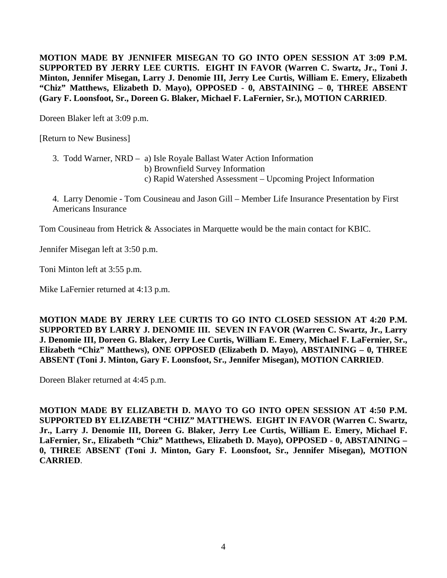**MOTION MADE BY JENNIFER MISEGAN TO GO INTO OPEN SESSION AT 3:09 P.M. SUPPORTED BY JERRY LEE CURTIS. EIGHT IN FAVOR (Warren C. Swartz, Jr., Toni J. Minton, Jennifer Misegan, Larry J. Denomie III, Jerry Lee Curtis, William E. Emery, Elizabeth "Chiz" Matthews, Elizabeth D. Mayo), OPPOSED - 0, ABSTAINING – 0, THREE ABSENT (Gary F. Loonsfoot, Sr., Doreen G. Blaker, Michael F. LaFernier, Sr.), MOTION CARRIED**.

Doreen Blaker left at 3:09 p.m.

[Return to New Business]

3. Todd Warner, NRD – a) Isle Royale Ballast Water Action Information b) Brownfield Survey Information c) Rapid Watershed Assessment – Upcoming Project Information

4. Larry Denomie - Tom Cousineau and Jason Gill – Member Life Insurance Presentation by First Americans Insurance

Tom Cousineau from Hetrick & Associates in Marquette would be the main contact for KBIC.

Jennifer Misegan left at 3:50 p.m.

Toni Minton left at 3:55 p.m.

Mike LaFernier returned at 4:13 p.m.

**MOTION MADE BY JERRY LEE CURTIS TO GO INTO CLOSED SESSION AT 4:20 P.M. SUPPORTED BY LARRY J. DENOMIE III. SEVEN IN FAVOR (Warren C. Swartz, Jr., Larry J. Denomie III, Doreen G. Blaker, Jerry Lee Curtis, William E. Emery, Michael F. LaFernier, Sr., Elizabeth "Chiz" Matthews), ONE OPPOSED (Elizabeth D. Mayo), ABSTAINING – 0, THREE ABSENT (Toni J. Minton, Gary F. Loonsfoot, Sr., Jennifer Misegan), MOTION CARRIED**.

Doreen Blaker returned at 4:45 p.m.

**MOTION MADE BY ELIZABETH D. MAYO TO GO INTO OPEN SESSION AT 4:50 P.M. SUPPORTED BY ELIZABETH "CHIZ" MATTHEWS. EIGHT IN FAVOR (Warren C. Swartz, Jr., Larry J. Denomie III, Doreen G. Blaker, Jerry Lee Curtis, William E. Emery, Michael F. LaFernier, Sr., Elizabeth "Chiz" Matthews, Elizabeth D. Mayo), OPPOSED - 0, ABSTAINING – 0, THREE ABSENT (Toni J. Minton, Gary F. Loonsfoot, Sr., Jennifer Misegan), MOTION CARRIED**.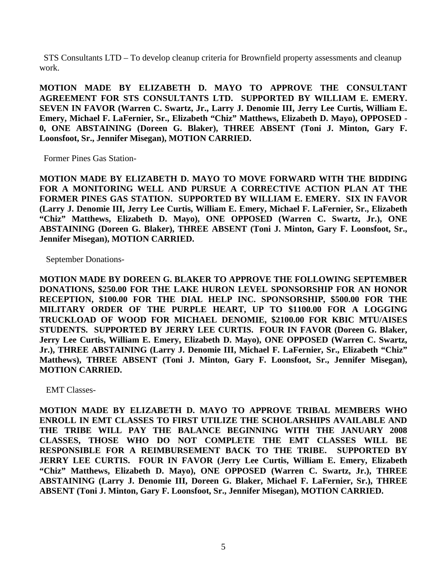STS Consultants LTD – To develop cleanup criteria for Brownfield property assessments and cleanup work.

**MOTION MADE BY ELIZABETH D. MAYO TO APPROVE THE CONSULTANT AGREEMENT FOR STS CONSULTANTS LTD. SUPPORTED BY WILLIAM E. EMERY. SEVEN IN FAVOR (Warren C. Swartz, Jr., Larry J. Denomie III, Jerry Lee Curtis, William E. Emery, Michael F. LaFernier, Sr., Elizabeth "Chiz" Matthews, Elizabeth D. Mayo), OPPOSED - 0, ONE ABSTAINING (Doreen G. Blaker), THREE ABSENT (Toni J. Minton, Gary F. Loonsfoot, Sr., Jennifer Misegan), MOTION CARRIED.**

Former Pines Gas Station-

**MOTION MADE BY ELIZABETH D. MAYO TO MOVE FORWARD WITH THE BIDDING FOR A MONITORING WELL AND PURSUE A CORRECTIVE ACTION PLAN AT THE FORMER PINES GAS STATION. SUPPORTED BY WILLIAM E. EMERY. SIX IN FAVOR (Larry J. Denomie III, Jerry Lee Curtis, William E. Emery, Michael F. LaFernier, Sr., Elizabeth "Chiz" Matthews, Elizabeth D. Mayo), ONE OPPOSED (Warren C. Swartz, Jr.), ONE ABSTAINING (Doreen G. Blaker), THREE ABSENT (Toni J. Minton, Gary F. Loonsfoot, Sr., Jennifer Misegan), MOTION CARRIED.**

September Donations-

**MOTION MADE BY DOREEN G. BLAKER TO APPROVE THE FOLLOWING SEPTEMBER DONATIONS, \$250.00 FOR THE LAKE HURON LEVEL SPONSORSHIP FOR AN HONOR RECEPTION, \$100.00 FOR THE DIAL HELP INC. SPONSORSHIP, \$500.00 FOR THE MILITARY ORDER OF THE PURPLE HEART, UP TO \$1100.00 FOR A LOGGING TRUCKLOAD OF WOOD FOR MICHAEL DENOMIE, \$2100.00 FOR KBIC MTU/AISES STUDENTS. SUPPORTED BY JERRY LEE CURTIS. FOUR IN FAVOR (Doreen G. Blaker, Jerry Lee Curtis, William E. Emery, Elizabeth D. Mayo), ONE OPPOSED (Warren C. Swartz, Jr.), THREE ABSTAINING (Larry J. Denomie III, Michael F. LaFernier, Sr., Elizabeth "Chiz" Matthews), THREE ABSENT (Toni J. Minton, Gary F. Loonsfoot, Sr., Jennifer Misegan), MOTION CARRIED.**

EMT Classes-

**MOTION MADE BY ELIZABETH D. MAYO TO APPROVE TRIBAL MEMBERS WHO ENROLL IN EMT CLASSES TO FIRST UTILIZE THE SCHOLARSHIPS AVAILABLE AND THE TRIBE WILL PAY THE BALANCE BEGINNING WITH THE JANUARY 2008 CLASSES, THOSE WHO DO NOT COMPLETE THE EMT CLASSES WILL BE RESPONSIBLE FOR A REIMBURSEMENT BACK TO THE TRIBE. SUPPORTED BY JERRY LEE CURTIS. FOUR IN FAVOR (Jerry Lee Curtis, William E. Emery, Elizabeth "Chiz" Matthews, Elizabeth D. Mayo), ONE OPPOSED (Warren C. Swartz, Jr.), THREE ABSTAINING (Larry J. Denomie III, Doreen G. Blaker, Michael F. LaFernier, Sr.), THREE ABSENT (Toni J. Minton, Gary F. Loonsfoot, Sr., Jennifer Misegan), MOTION CARRIED.**